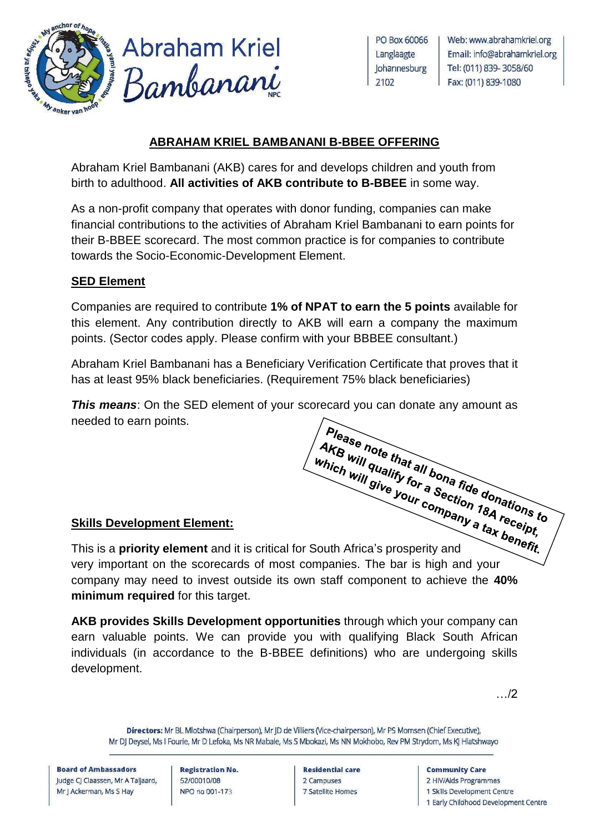

**Abraham Kriel** Bambanani

PO Box 60066 Langlaagte Johannesburg 2102

Web: www.abrahamkriel.org Email: info@abrahamkriel.org Tel: (011) 839-3058/60 Fax: (011) 839-1080

### **ABRAHAM KRIEL BAMBANANI B-BBEE OFFERING**

Abraham Kriel Bambanani (AKB) cares for and develops children and youth from birth to adulthood. **All activities of AKB contribute to B-BBEE** in some way.

As a non-profit company that operates with donor funding, companies can make financial contributions to the activities of Abraham Kriel Bambanani to earn points for their B-BBEE scorecard. The most common practice is for companies to contribute towards the Socio-Economic-Development Element.

# **SED Element**

Companies are required to contribute **1% of NPAT to earn the 5 points** available for this element. Any contribution directly to AKB will earn a company the maximum points. (Sector codes apply. Please confirm with your BBBEE consultant.)

Abraham Kriel Bambanani has a Beneficiary Verification Certificate that proves that it has at least 95% black beneficiaries. (Requirement 75% black beneficiaries)

**This means:** On the SED element of your scorecard you can donate any amount as Please note that all bona fide donations to needed to earn points.

## **Skills Development Element:**

Skills Development Element:<br>This is a **priority element** and it is critical for South Africa's prosperity and<br>This is a **priority element** and it is critical for South Africa's prosperity and very important on the scorecards of most companies. The bar is high and your company may need to invest outside its own staff component to achieve the **40% minimum required** for this target.

**AKB provides Skills Development opportunities** through which your company can earn valuable points. We can provide you with qualifying Black South African individuals (in accordance to the B-BBEE definitions) who are undergoing skills development.

…/2

Directors: Mr BL Mlotshwa (Chairperson), Mr |D de Villiers (Vice-chairperson), Mr PS Momsen (Chief Executive), Mr DJ Deysel, Ms I Fourie, Mr D Lefoka, Ms NR Mabale, Ms S Mbokazi, Ms NN Mokhobo, Rev PM Strydom, Ms KJ Hlatshwayo

**Board of Ambassadors** Judge CJ Claassen, Mr A Taljaard, Mr I Ackerman, Ms S Hav

**Registration No.** 52/00010/08 NPO no 001-173

**Residential care** 2 Campuses 7 Satellite Homes

#### **Community Care**

2 HIV/Aids Programmes

1 Skills Development Centre

1 Early Childhood Development Centre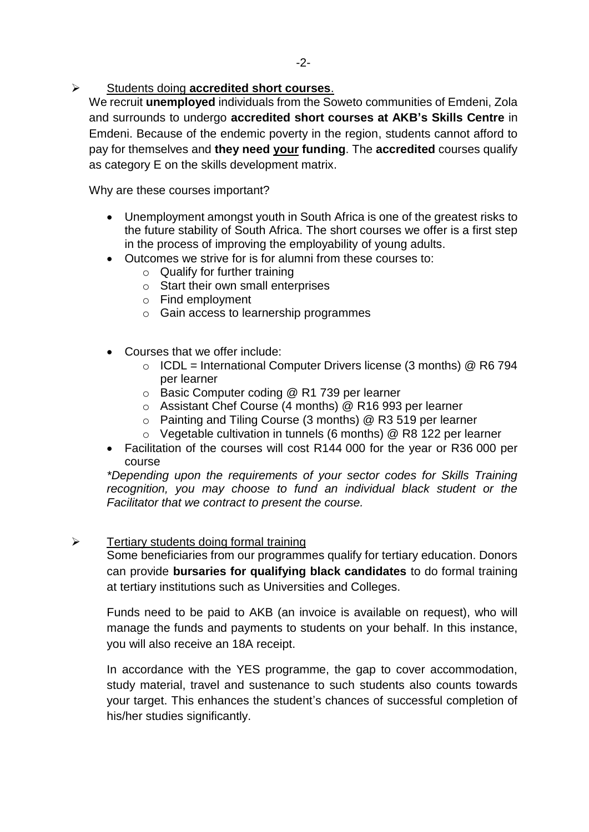Students doing **accredited short courses**.

We recruit **unemployed** individuals from the Soweto communities of Emdeni, Zola and surrounds to undergo **accredited short courses at AKB's Skills Centre** in Emdeni. Because of the endemic poverty in the region, students cannot afford to pay for themselves and **they need your funding**. The **accredited** courses qualify as category E on the skills development matrix.

Why are these courses important?

- Unemployment amongst youth in South Africa is one of the greatest risks to the future stability of South Africa. The short courses we offer is a first step in the process of improving the employability of young adults.
- Outcomes we strive for is for alumni from these courses to:
	- $\circ$  Qualify for further training
	- o Start their own small enterprises
	- o Find employment
	- o Gain access to learnership programmes
- Courses that we offer include:
	- $\circ$  ICDL = International Computer Drivers license (3 months) @ R6 794 per learner
	- o Basic Computer coding @ R1 739 per learner
	- o Assistant Chef Course (4 months) @ R16 993 per learner
	- o Painting and Tiling Course (3 months) @ R3 519 per learner
	- o Vegetable cultivation in tunnels (6 months) @ R8 122 per learner
- Facilitation of the courses will cost R144 000 for the year or R36 000 per course

*\*Depending upon the requirements of your sector codes for Skills Training recognition, you may choose to fund an individual black student or the Facilitator that we contract to present the course.*

#### $\triangleright$  Tertiary students doing formal training

Some beneficiaries from our programmes qualify for tertiary education. Donors can provide **bursaries for qualifying black candidates** to do formal training at tertiary institutions such as Universities and Colleges.

Funds need to be paid to AKB (an invoice is available on request), who will manage the funds and payments to students on your behalf. In this instance, you will also receive an 18A receipt.

In accordance with the YES programme, the gap to cover accommodation, study material, travel and sustenance to such students also counts towards your target. This enhances the student's chances of successful completion of his/her studies significantly.